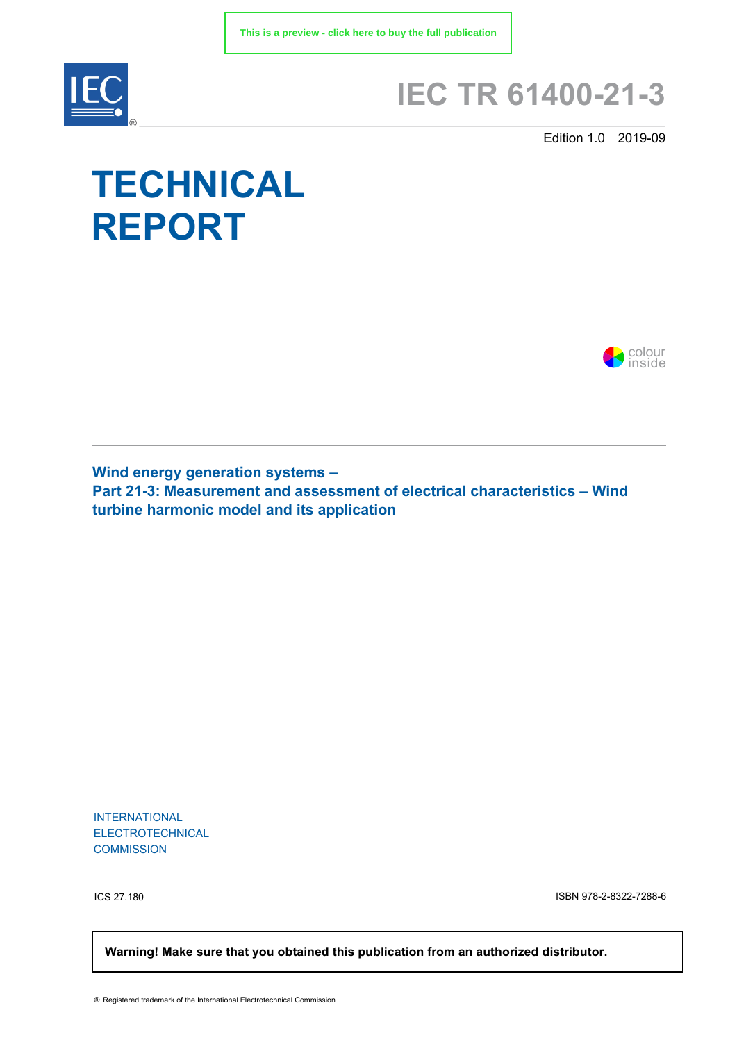

# **IEC TR 61400-21-3**

Edition 1.0 2019-09

# **TECHNICAL REPORT**



**Wind energy generation systems – Part 21-3: Measurement and assessment of electrical characteristics – Wind turbine harmonic model and its application**

INTERNATIONAL ELECTROTECHNICAL **COMMISSION** 

ICS 27.180 ISBN 978-2-8322-7288-6

 **Warning! Make sure that you obtained this publication from an authorized distributor.**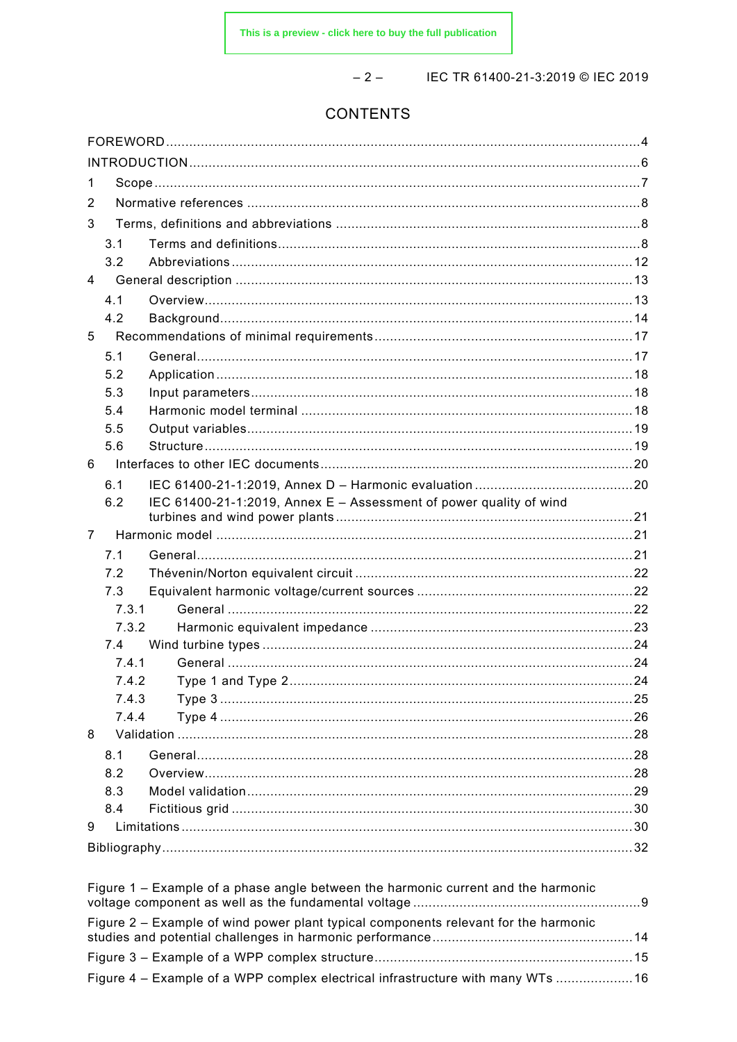IEC TR 61400-21-3:2019 © IEC 2019  $-2-$ 

# CONTENTS

| 1 |            |                                                                                   |  |  |  |  |
|---|------------|-----------------------------------------------------------------------------------|--|--|--|--|
| 2 |            |                                                                                   |  |  |  |  |
| 3 |            |                                                                                   |  |  |  |  |
|   | 3.1        |                                                                                   |  |  |  |  |
|   | 3.2        |                                                                                   |  |  |  |  |
| 4 |            |                                                                                   |  |  |  |  |
|   | 4.1        |                                                                                   |  |  |  |  |
|   | 4.2        |                                                                                   |  |  |  |  |
| 5 |            |                                                                                   |  |  |  |  |
|   | 5.1        |                                                                                   |  |  |  |  |
|   | 5.2        |                                                                                   |  |  |  |  |
|   | 5.3        |                                                                                   |  |  |  |  |
|   | 5.4        |                                                                                   |  |  |  |  |
|   | 5.5        |                                                                                   |  |  |  |  |
|   | 5.6        |                                                                                   |  |  |  |  |
| 6 |            |                                                                                   |  |  |  |  |
|   | 6.1        |                                                                                   |  |  |  |  |
|   | 6.2        | IEC 61400-21-1:2019, Annex E - Assessment of power quality of wind                |  |  |  |  |
|   |            |                                                                                   |  |  |  |  |
| 7 |            |                                                                                   |  |  |  |  |
|   | 7.1        |                                                                                   |  |  |  |  |
|   | 7.2        |                                                                                   |  |  |  |  |
|   | 7.3        |                                                                                   |  |  |  |  |
|   | 7.3.1      |                                                                                   |  |  |  |  |
|   | 7.3.2      |                                                                                   |  |  |  |  |
|   | 7.4        |                                                                                   |  |  |  |  |
|   | 7.4.1      |                                                                                   |  |  |  |  |
|   | 7.4.2      |                                                                                   |  |  |  |  |
|   | 7.4.3      |                                                                                   |  |  |  |  |
|   | 7.4.4      |                                                                                   |  |  |  |  |
| 8 |            |                                                                                   |  |  |  |  |
|   | 8.1        |                                                                                   |  |  |  |  |
|   | 8.2        |                                                                                   |  |  |  |  |
|   | 8.3<br>8.4 |                                                                                   |  |  |  |  |
|   |            |                                                                                   |  |  |  |  |
| 9 |            |                                                                                   |  |  |  |  |
|   |            |                                                                                   |  |  |  |  |
|   |            |                                                                                   |  |  |  |  |
|   |            | Figure 1 – Example of a phase angle between the harmonic current and the harmonic |  |  |  |  |
|   |            |                                                                                   |  |  |  |  |

| Figure 2 – Example of wind power plant typical components relevant for the harmonic |  |
|-------------------------------------------------------------------------------------|--|
|                                                                                     |  |
|                                                                                     |  |
| Figure 4 – Example of a WPP complex electrical infrastructure with many WTs  16     |  |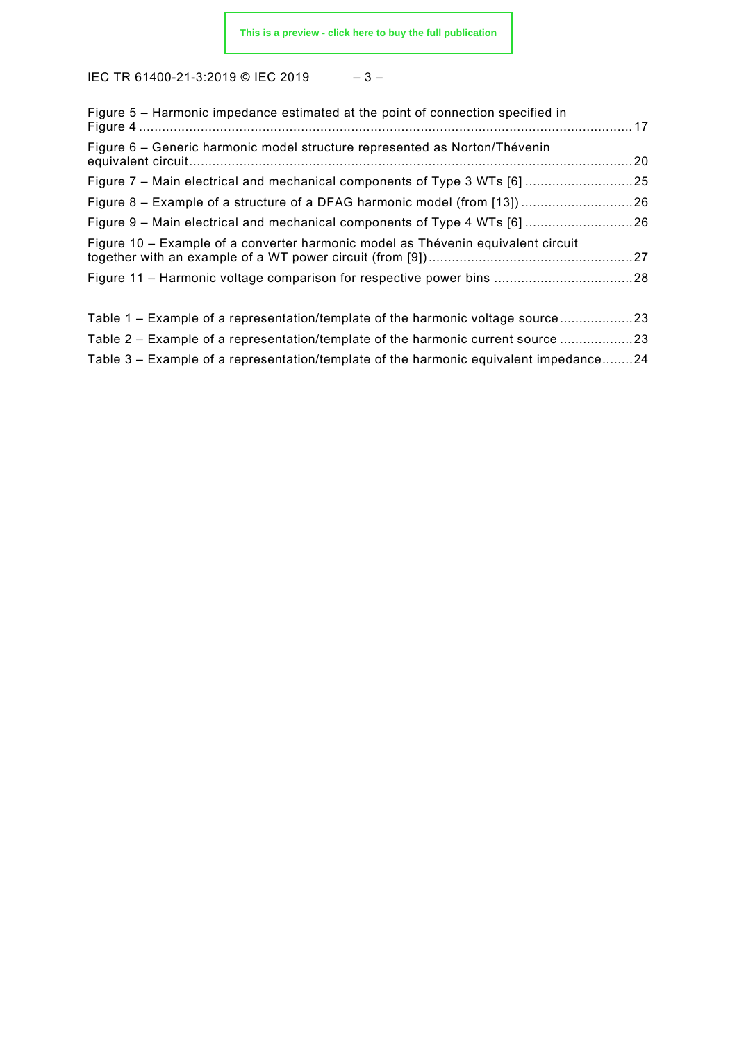IEC TR 61400-21-3:2019 © IEC 2019 – 3 –

| Figure 5 - Harmonic impedance estimated at the point of connection specified in  |  |
|----------------------------------------------------------------------------------|--|
| Figure 6 - Generic harmonic model structure represented as Norton/Thévenin       |  |
|                                                                                  |  |
| Figure 8 – Example of a structure of a DFAG harmonic model (from [13]) 26        |  |
|                                                                                  |  |
| Figure 10 – Example of a converter harmonic model as Thévenin equivalent circuit |  |
| Figure 11 - Harmonic voltage comparison for respective power bins 28             |  |
|                                                                                  |  |

|  |  |  |  | Table 1 – Example of a representation/template of the harmonic voltage source23       |  |
|--|--|--|--|---------------------------------------------------------------------------------------|--|
|  |  |  |  | Table 2 – Example of a representation/template of the harmonic current source 23      |  |
|  |  |  |  | Table 3 – Example of a representation/template of the harmonic equivalent impedance24 |  |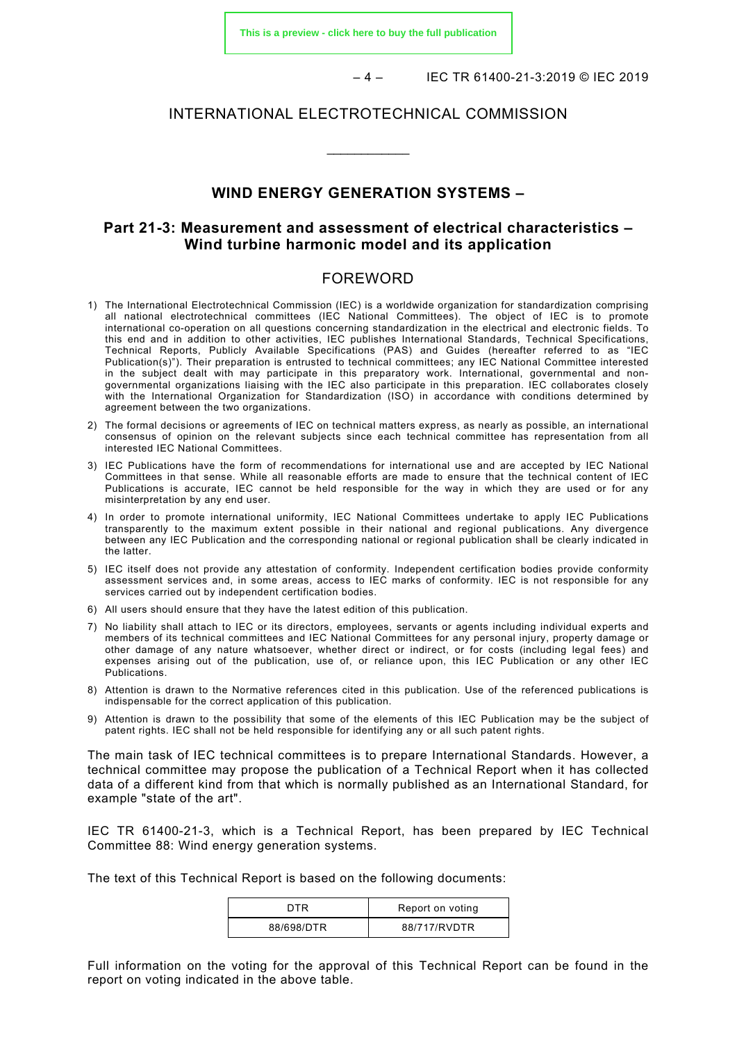**[This is a preview - click here to buy the full publication](https://webstore.iec.ch/publication/63755&preview)**

 $-4 -$  IEC TR 61400-21-3:2019 © IEC 2019

#### INTERNATIONAL ELECTROTECHNICAL COMMISSION

\_\_\_\_\_\_\_\_\_\_\_\_

#### **WIND ENERGY GENERATION SYSTEMS –**

## **Part 21-3: Measurement and assessment of electrical characteristics – Wind turbine harmonic model and its application**

#### FOREWORD

- <span id="page-3-0"></span>1) The International Electrotechnical Commission (IEC) is a worldwide organization for standardization comprising all national electrotechnical committees (IEC National Committees). The object of IEC is to promote international co-operation on all questions concerning standardization in the electrical and electronic fields. To this end and in addition to other activities, IEC publishes International Standards, Technical Specifications, Technical Reports, Publicly Available Specifications (PAS) and Guides (hereafter referred to as "IEC Publication(s)"). Their preparation is entrusted to technical committees; any IEC National Committee interested in the subject dealt with may participate in this preparatory work. International, governmental and nongovernmental organizations liaising with the IEC also participate in this preparation. IEC collaborates closely with the International Organization for Standardization (ISO) in accordance with conditions determined by agreement between the two organizations.
- 2) The formal decisions or agreements of IEC on technical matters express, as nearly as possible, an international consensus of opinion on the relevant subjects since each technical committee has representation from all interested IEC National Committees.
- 3) IEC Publications have the form of recommendations for international use and are accepted by IEC National Committees in that sense. While all reasonable efforts are made to ensure that the technical content of IEC Publications is accurate, IEC cannot be held responsible for the way in which they are used or for any misinterpretation by any end user.
- 4) In order to promote international uniformity, IEC National Committees undertake to apply IEC Publications transparently to the maximum extent possible in their national and regional publications. Any divergence between any IEC Publication and the corresponding national or regional publication shall be clearly indicated in the latter.
- 5) IEC itself does not provide any attestation of conformity. Independent certification bodies provide conformity assessment services and, in some areas, access to IEC marks of conformity. IEC is not responsible for any services carried out by independent certification bodies.
- 6) All users should ensure that they have the latest edition of this publication.
- 7) No liability shall attach to IEC or its directors, employees, servants or agents including individual experts and members of its technical committees and IEC National Committees for any personal injury, property damage or other damage of any nature whatsoever, whether direct or indirect, or for costs (including legal fees) and expenses arising out of the publication, use of, or reliance upon, this IEC Publication or any other IEC Publications.
- 8) Attention is drawn to the Normative references cited in this publication. Use of the referenced publications is indispensable for the correct application of this publication.
- 9) Attention is drawn to the possibility that some of the elements of this IEC Publication may be the subject of patent rights. IEC shall not be held responsible for identifying any or all such patent rights.

The main task of IEC technical committees is to prepare International Standards. However, a technical committee may propose the publication of a Technical Report when it has collected data of a different kind from that which is normally published as an International Standard, for example "state of the art".

IEC TR 61400-21-3, which is a Technical Report, has been prepared by IEC Technical Committee 88: Wind energy generation systems.

The text of this Technical Report is based on the following documents:

| DTR        | Report on voting |
|------------|------------------|
| 88/698/DTR | 88/717/RVDTR     |

Full information on the voting for the approval of this Technical Report can be found in the report on voting indicated in the above table.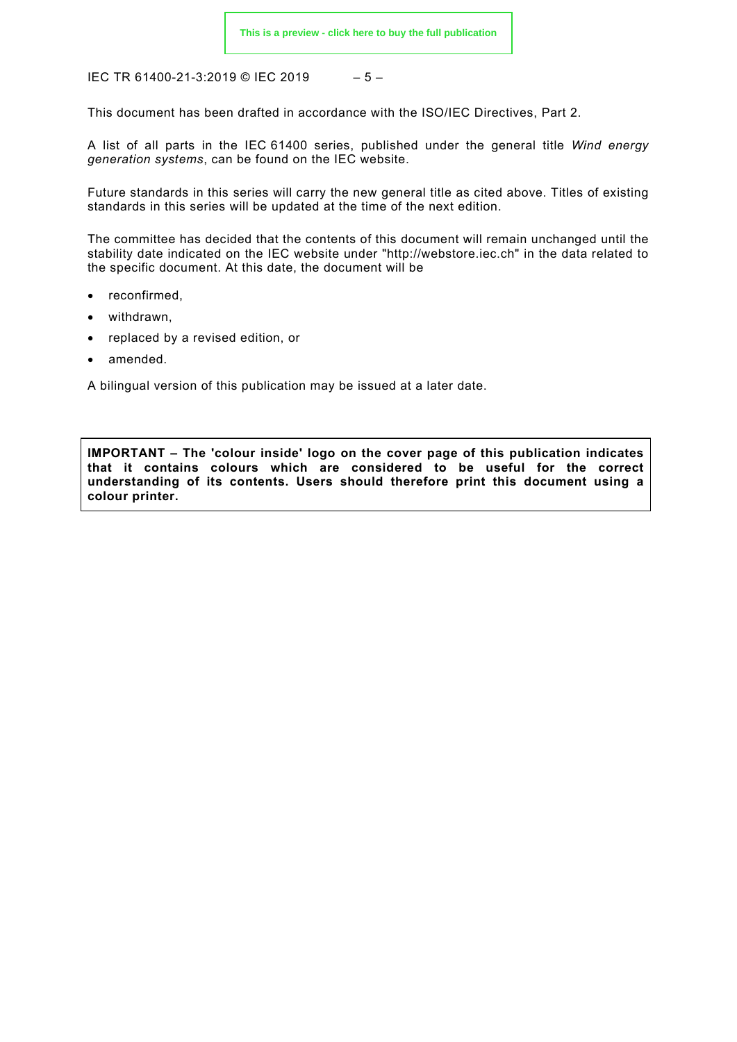IEC TR 61400-21-3:2019 © IEC 2019 – 5 –

This document has been drafted in accordance with the ISO/IEC Directives, Part 2.

A list of all parts in the IEC 61400 series, published under the general title *Wind energy generation systems*, can be found on the IEC website.

Future standards in this series will carry the new general title as cited above. Titles of existing standards in this series will be updated at the time of the next edition.

The committee has decided that the contents of this document will remain unchanged until the stability date indicated on the IEC website under "http://webstore.iec.ch" in the data related to the specific document. At this date, the document will be

- reconfirmed.
- withdrawn,
- replaced by a revised edition, or
- amended.

A bilingual version of this publication may be issued at a later date.

**IMPORTANT – The 'colour inside' logo on the cover page of this publication indicates that it contains colours which are considered to be useful for the correct understanding of its contents. Users should therefore print this document using a colour printer.**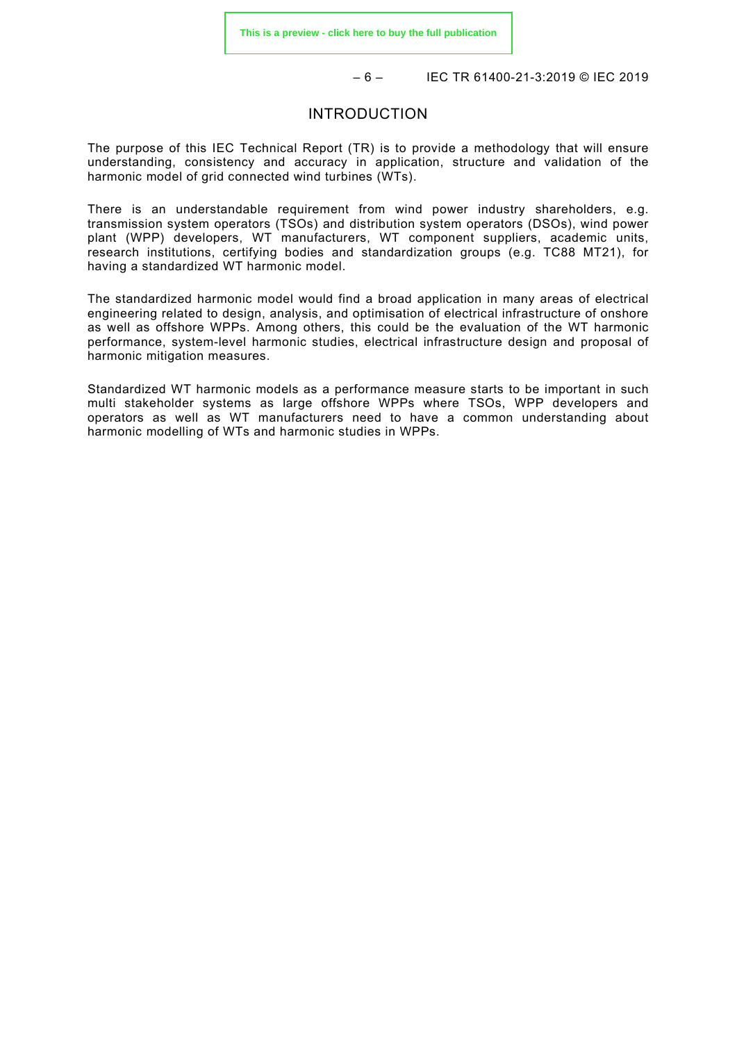$-6 -$  IEC TR 61400-21-3:2019 © IEC 2019

## INTRODUCTION

<span id="page-5-0"></span>The purpose of this IEC Technical Report (TR) is to provide a methodology that will ensure understanding, consistency and accuracy in application, structure and validation of the harmonic model of grid connected wind turbines (WTs).

There is an understandable requirement from wind power industry shareholders, e.g. transmission system operators (TSOs) and distribution system operators (DSOs), wind power plant (WPP) developers, WT manufacturers, WT component suppliers, academic units, research institutions, certifying bodies and standardization groups (e.g. TC88 MT21), for having a standardized WT harmonic model.

The standardized harmonic model would find a broad application in many areas of electrical engineering related to design, analysis, and optimisation of electrical infrastructure of onshore as well as offshore WPPs. Among others, this could be the evaluation of the WT harmonic performance, system-level harmonic studies, electrical infrastructure design and proposal of harmonic mitigation measures.

Standardized WT harmonic models as a performance measure starts to be important in such multi stakeholder systems as large offshore WPPs where TSOs, WPP developers and operators as well as WT manufacturers need to have a common understanding about harmonic modelling of WTs and harmonic studies in WPPs.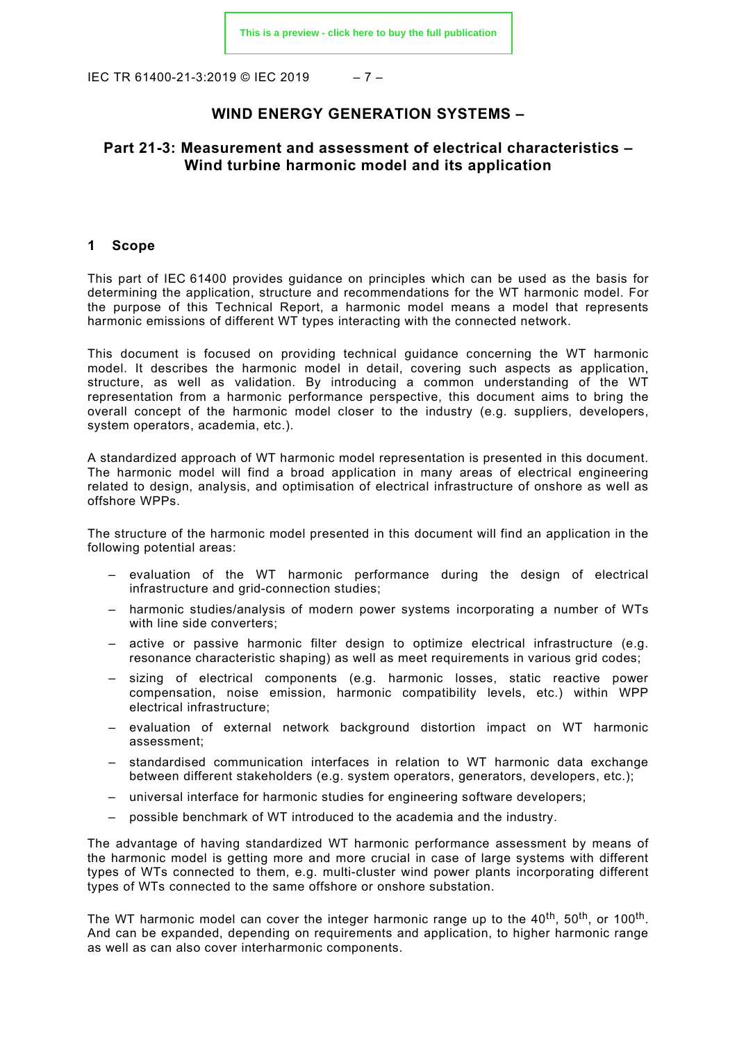IEC TR 61400-21-3:2019 © IEC 2019 – 7 –

# **WIND ENERGY GENERATION SYSTEMS –**

# **Part 21-3: Measurement and assessment of electrical characteristics – Wind turbine harmonic model and its application**

#### <span id="page-6-0"></span>**1 Scope**

This part of IEC 61400 provides guidance on principles which can be used as the basis for determining the application, structure and recommendations for the WT harmonic model. For the purpose of this Technical Report, a harmonic model means a model that represents harmonic emissions of different WT types interacting with the connected network.

This document is focused on providing technical guidance concerning the WT harmonic model. It describes the harmonic model in detail, covering such aspects as application, structure, as well as validation. By introducing a common understanding of the WT representation from a harmonic performance perspective, this document aims to bring the overall concept of the harmonic model closer to the industry (e.g. suppliers, developers, system operators, academia, etc.).

A standardized approach of WT harmonic model representation is presented in this document. The harmonic model will find a broad application in many areas of electrical engineering related to design, analysis, and optimisation of electrical infrastructure of onshore as well as offshore WPPs.

The structure of the harmonic model presented in this document will find an application in the following potential areas:

- evaluation of the WT harmonic performance during the design of electrical infrastructure and grid-connection studies;
- harmonic studies/analysis of modern power systems incorporating a number of WTs with line side converters;
- active or passive harmonic filter design to optimize electrical infrastructure (e.g. resonance characteristic shaping) as well as meet requirements in various grid codes;
- sizing of electrical components (e.g. harmonic losses, static reactive power compensation, noise emission, harmonic compatibility levels, etc.) within WPP electrical infrastructure;
- evaluation of external network background distortion impact on WT harmonic assessment;
- standardised communication interfaces in relation to WT harmonic data exchange between different stakeholders (e.g. system operators, generators, developers, etc.);
- universal interface for harmonic studies for engineering software developers;
- possible benchmark of WT introduced to the academia and the industry.

The advantage of having standardized WT harmonic performance assessment by means of the harmonic model is getting more and more crucial in case of large systems with different types of WTs connected to them, e.g. multi-cluster wind power plants incorporating different types of WTs connected to the same offshore or onshore substation.

The WT harmonic model can cover the integer harmonic range up to the  $40^{th}$ ,  $50^{th}$ , or  $100^{th}$ . And can be expanded, depending on requirements and application, to higher harmonic range as well as can also cover interharmonic components.